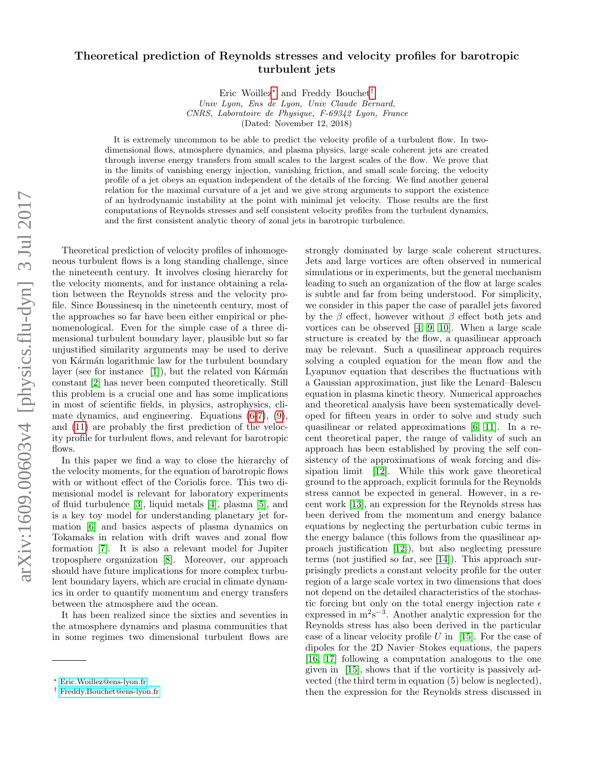## Theoretical prediction of Reynolds stresses and velocity profiles for barotropic turbulent jets

Eric Woillez[∗](#page-0-0) and Freddy Bouchet[†](#page-0-1)

Univ Lyon, Ens de Lyon, Univ Claude Bernard, CNRS, Laboratoire de Physique, F-69342 Lyon, France (Dated: November 12, 2018)

It is extremely uncommon to be able to predict the velocity profile of a turbulent flow. In twodimensional flows, atmosphere dynamics, and plasma physics, large scale coherent jets are created through inverse energy transfers from small scales to the largest scales of the flow. We prove that in the limits of vanishing energy injection, vanishing friction, and small scale forcing, the velocity profile of a jet obeys an equation independent of the details of the forcing. We find another general relation for the maximal curvature of a jet and we give strong arguments to support the existence of an hydrodynamic instability at the point with minimal jet velocity. Those results are the first computations of Reynolds stresses and self consistent velocity profiles from the turbulent dynamics, and the first consistent analytic theory of zonal jets in barotropic turbulence.

Theoretical prediction of velocity profiles of inhomogeneous turbulent flows is a long standing challenge, since the nineteenth century. It involves closing hierarchy for the velocity moments, and for instance obtaining a relation between the Reynolds stress and the velocity profile. Since Boussinesq in the nineteenth century, most of the approaches so far have been either empirical or phenomenological. Even for the simple case of a three dimensional turbulent boundary layer, plausible but so far unjustified similarity arguments may be used to derive von Kármán logarithmic law for the turbulent boundary layer (see for instance  $[1]$ ), but the related von Kármán constant [\[2\]](#page-8-1) has never been computed theoretically. Still this problem is a crucial one and has some implications in most of scientific fields, in physics, astrophysics, climate dynamics, and engineering. Equations [\(6](#page-2-0)[-7\)](#page-2-1), [\(9\)](#page-3-0), and [\(11\)](#page-3-1) are probably the first prediction of the velocity profile for turbulent flows, and relevant for barotropic flows.

In this paper we find a way to close the hierarchy of the velocity moments, for the equation of barotropic flows with or without effect of the Coriolis force. This two dimensional model is relevant for laboratory experiments of fluid turbulence [\[3\]](#page-8-2), liquid metals [\[4\]](#page-8-3), plasma [\[5\]](#page-8-4), and is a key toy model for understanding planetary jet formation [\[6\]](#page-8-5) and basics aspects of plasma dynamics on Tokamaks in relation with drift waves and zonal flow formation [\[7\]](#page-8-6). It is also a relevant model for Jupiter troposphere organization [\[8\]](#page-8-7). Moreover, our approach should have future implications for more complex turbulent boundary layers, which are crucial in climate dynamics in order to quantify momentum and energy transfers between the atmosphere and the ocean.

It has been realized since the sixties and seventies in the atmosphere dynamics and plasma communities that in some regimes two dimensional turbulent flows are strongly dominated by large scale coherent structures. Jets and large vortices are often observed in numerical simulations or in experiments, but the general mechanism leading to such an organization of the flow at large scales is subtle and far from being understood. For simplicity, we consider in this paper the case of parallel jets favored by the  $\beta$  effect, however without  $\beta$  effect both jets and vortices can be observed [\[4,](#page-8-3) [9,](#page-8-8) [10\]](#page-8-9). When a large scale structure is created by the flow, a quasilinear approach may be relevant. Such a quasilinear approach requires solving a coupled equation for the mean flow and the Lyapunov equation that describes the fluctuations with a Gaussian approximation, just like the Lenard–Balescu equation in plasma kinetic theory. Numerical approaches and theoretical analysis have been systematically developed for fifteen years in order to solve and study such quasilinear or related approximations [\[6,](#page-8-5) [11\]](#page-8-10). In a recent theoretical paper, the range of validity of such an approach has been established by proving the self consistency of the approximations of weak forcing and dissipation limit [\[12\]](#page-8-11). While this work gave theoretical ground to the approach, explicit formula for the Reynolds stress cannot be expected in general. However, in a recent work [\[13\]](#page-8-12), an expression for the Reynolds stress has been derived from the momentum and energy balance equations by neglecting the perturbation cubic terms in the energy balance (this follows from the quasilinear approach justification [\[12\]](#page-8-11)), but also neglecting pressure terms (not justified so far, see [\[14\]](#page-8-13)). This approach surprisingly predicts a constant velocity profile for the outer region of a large scale vortex in two dimensions that does not depend on the detailed characteristics of the stochastic forcing but only on the total energy injection rate  $\epsilon$ expressed in  $m^2s^{-3}$ . Another analytic expression for the Reynolds stress has also been derived in the particular case of a linear velocity profile  $U$  in [\[15\]](#page-8-14). For the case of dipoles for the 2D Navier–Stokes equations, the papers [\[16,](#page-8-15) [17\]](#page-8-16) following a computation analogous to the one given in [\[15\]](#page-8-14), shows that if the vorticity is passively advected (the third term in equation (5) below is neglected), then the expression for the Reynolds stress discussed in

<span id="page-0-0"></span><sup>∗</sup> [Eric.Woillez@ens-lyon.fr](mailto:Eric.Woillez@ens-lyon.fr)

<span id="page-0-1"></span><sup>†</sup> [Freddy.Bouchet@ens-lyon.fr](mailto:Freddy.Bouchet@ens-lyon.fr)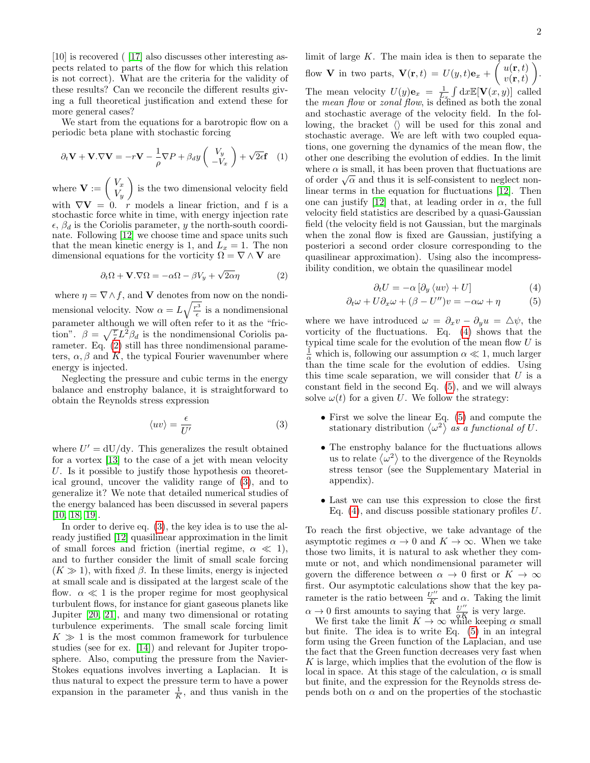[10] is recovered ( [\[17\]](#page-8-16) also discusses other interesting aspects related to parts of the flow for which this relation is not correct). What are the criteria for the validity of these results? Can we reconcile the different results giving a full theoretical justification and extend these for more general cases?

We start from the equations for a barotropic flow on a periodic beta plane with stochastic forcing

$$
\partial_t \mathbf{V} + \mathbf{V} \cdot \nabla \mathbf{V} = -r \mathbf{V} - \frac{1}{\rho} \nabla P + \beta_d y \begin{pmatrix} V_y \\ -V_x \end{pmatrix} + \sqrt{2\epsilon} \mathbf{f} \quad (1)
$$

where  $\mathbf{V} := \begin{pmatrix} V_x \\ V_y \end{pmatrix}$  $V_y$ ) is the two dimensional velocity field with  $\nabla$ **V** = 0. r models a linear friction, and f is a stochastic force white in time, with energy injection rate  $\epsilon$ ,  $\beta_d$  is the Coriolis parameter, y the north-south coordinate. Following [\[12\]](#page-8-11) we choose time and space units such that the mean kinetic energy is 1, and  $L_x = 1$ . The non dimensional equations for the vorticity  $\Omega = \nabla \wedge \mathbf{V}$  are

<span id="page-1-0"></span>
$$
\partial_t \Omega + \mathbf{V} . \nabla \Omega = -\alpha \Omega - \beta V_y + \sqrt{2\alpha} \eta \tag{2}
$$

where  $\eta = \nabla \wedge f$ , and **V** denotes from now on the nondimensional velocity. Now  $\alpha = L\sqrt{\frac{r^3}{\epsilon}}$  is a nondimensional parameter although we will often refer to it as the "friction".  $\beta = \sqrt{\frac{T}{\epsilon}} L^2 \beta_d$  is the nondimensional Coriolis parameter. Eq. [\(2\)](#page-1-0) still has three nondimensional parameters,  $\alpha$ ,  $\beta$  and K, the typical Fourier wavenumber where energy is injected.

Neglecting the pressure and cubic terms in the energy balance and enstrophy balance, it is straightforward to obtain the Reynolds stress expression

<span id="page-1-1"></span>
$$
\langle uv \rangle = \frac{\epsilon}{U'} \tag{3}
$$

where  $U' = dU/dy$ . This generalizes the result obtained for a vortex [\[13\]](#page-8-12) to the case of a jet with mean velocity U. Is it possible to justify those hypothesis on theoretical ground, uncover the validity range of [\(3\)](#page-1-1), and to generalize it? We note that detailed numerical studies of the energy balanced has been discussed in several papers [\[10,](#page-8-9) [18,](#page-8-17) [19\]](#page-8-18).

In order to derive eq. [\(3\)](#page-1-1), the key idea is to use the already justified [\[12\]](#page-8-11) quasilinear approximation in the limit of small forces and friction (inertial regime,  $\alpha \ll 1$ ), and to further consider the limit of small scale forcing  $(K \gg 1)$ , with fixed  $\beta$ . In these limits, energy is injected at small scale and is dissipated at the largest scale of the flow.  $\alpha \ll 1$  is the proper regime for most geophysical turbulent flows, for instance for giant gaseous planets like Jupiter [\[20,](#page-8-19) [21\]](#page-8-20), and many two dimensional or rotating turbulence experiments. The small scale forcing limit  $K \gg 1$  is the most common framework for turbulence studies (see for ex. [\[14\]](#page-8-13)) and relevant for Jupiter troposphere. Also, computing the pressure from the Navier-Stokes equations involves inverting a Laplacian. It is thus natural to expect the pressure term to have a power expansion in the parameter  $\frac{1}{K}$ , and thus vanish in the

limit of large  $K$ . The main idea is then to separate the flow **V** in two parts,  $\mathbf{V}(\mathbf{r},t) = U(y,t)\mathbf{e}_x + \begin{pmatrix} u(\mathbf{r},t) \\ v(\mathbf{r},t) \end{pmatrix}$  $v(\mathbf{r},t)$  $\setminus$ . The mean velocity  $U(y)\mathbf{e}_x = \frac{1}{L_x} \int dx \mathbb{E}[\mathbf{V}(x, y)]$  called the *mean flow* or *zonal flow*, is defined as both the zonal and stochastic average of the velocity field. In the following, the bracket  $\langle \rangle$  will be used for this zonal and stochastic average. We are left with two coupled equations, one governing the dynamics of the mean flow, the other one describing the evolution of eddies. In the limit where  $\alpha$  is small, it has been proven that fluctuations are where  $\alpha$  is small, it has been proven that include to reglect non-<br>of order  $\sqrt{\alpha}$  and thus it is self-consistent to neglect nonlinear terms in the equation for fluctuations [\[12\]](#page-8-11). Then one can justify [\[12\]](#page-8-11) that, at leading order in  $\alpha$ , the full velocity field statistics are described by a quasi-Gaussian field (the velocity field is not Gaussian, but the marginals when the zonal flow is fixed are Gaussian, justifying a posteriori a second order closure corresponding to the quasilinear approximation). Using also the incompressibility condition, we obtain the quasilinear model

$$
\partial_t U = -\alpha \left[ \partial_y \langle uv \rangle + U \right] \tag{4}
$$

<span id="page-1-2"></span>
$$
\partial_t \omega + U \partial_x \omega + (\beta - U'')v = -\alpha \omega + \eta \tag{5}
$$

where we have introduced  $\omega = \partial_x v - \partial_y u = \Delta \psi$ , the vorticity of the fluctuations. Eq. [\(4\)](#page-1-2) shows that the typical time scale for the evolution of the mean flow  $U$  is  $\frac{1}{\alpha}$  which is, following our assumption  $\alpha \ll 1$ , much larger than the time scale for the evolution of eddies. Using this time scale separation, we will consider that  $U$  is a constant field in the second Eq. [\(5\)](#page-1-2), and we will always solve  $\omega(t)$  for a given U. We follow the strategy:

- First we solve the linear Eq. [\(5\)](#page-1-2) and compute the stationary distribution  $\langle \omega^2 \rangle$  as a functional of U.
- The enstrophy balance for the fluctuations allows us to relate  $\langle \omega^2 \rangle$  to the divergence of the Reynolds stress tensor (see the Supplementary Material in appendix).
- Last we can use this expression to close the first Eq.  $(4)$ , and discuss possible stationary profiles U.

To reach the first objective, we take advantage of the asymptotic regimes  $\alpha \to 0$  and  $K \to \infty$ . When we take those two limits, it is natural to ask whether they commute or not, and which nondimensional parameter will govern the difference between  $\alpha \to 0$  first or  $K \to \infty$ first. Our asymptotic calculations show that the key parameter is the ratio between  $\frac{U''}{K}$  $\frac{\sqrt{n}}{K}$  and  $\alpha$ . Taking the limit  $\alpha \to 0$  first amounts to saying that  $\frac{U''}{\alpha K}$  is very large.<br>We first take the limit  $K \to \infty$  while keeping  $\alpha$  small

but finite. The idea is to write Eq. [\(5\)](#page-1-2) in an integral form using the Green function of the Laplacian, and use the fact that the Green function decreases very fast when  $K$  is large, which implies that the evolution of the flow is local in space. At this stage of the calculation,  $\alpha$  is small but finite, and the expression for the Reynolds stress depends both on  $\alpha$  and on the properties of the stochastic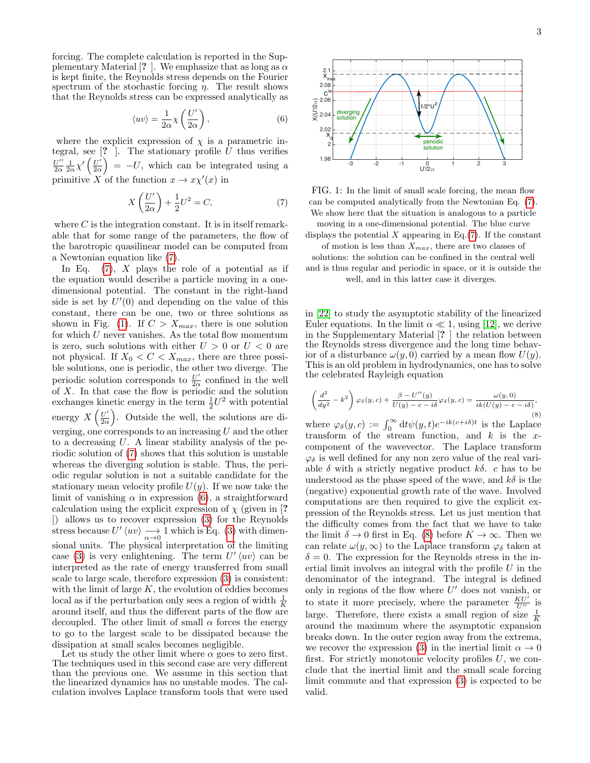forcing. The complete calculation is reported in the Supplementary Material [? ]. We emphasize that as long as  $\alpha$ is kept finite, the Reynolds stress depends on the Fourier spectrum of the stochastic forcing  $\eta$ . The result shows that the Reynolds stress can be expressed analytically as

<span id="page-2-0"></span>
$$
\langle uv \rangle = \frac{1}{2\alpha} \chi \left( \frac{U'}{2\alpha} \right),\tag{6}
$$

where the explicit expression of  $\chi$  is a parametric integral, see  $[?$  ]. The stationary profile  $\overline{U}$  thus verifies  $U^{\prime\prime}$  $\frac{U^{\prime\prime}}{2\alpha}\frac{1}{2\alpha}\chi^{\prime}\left(\frac{U^{\prime}}{2\alpha}\right)$  $\left(\frac{U'}{2\alpha}\right)$  = -U, which can be integrated using a primitive X of the function  $x \to x \chi'(x)$  in

<span id="page-2-1"></span>
$$
X\left(\frac{U'}{2\alpha}\right) + \frac{1}{2}U^2 = C,\tag{7}
$$

where  $C$  is the integration constant. It is in itself remarkable that for some range of the parameters, the flow of the barotropic quasilinear model can be computed from a Newtonian equation like [\(7\)](#page-2-1).

In Eq.  $(7)$ , X plays the role of a potential as if the equation would describe a particle moving in a onedimensional potential. The constant in the right-hand side is set by  $U'(0)$  and depending on the value of this constant, there can be one, two or three solutions as shown in Fig. [\(1\)](#page-2-2). If  $C > X_{max}$ , there is one solution for which  $U$  never vanishes. As the total flow momentum is zero, such solutions with either  $U > 0$  or  $U < 0$  are not physical. If  $X_0 < C < X_{max}$ , there are three possible solutions, one is periodic, the other two diverge. The periodic solution corresponds to  $\frac{U'}{20}$  $\frac{U}{2\alpha}$  confined in the well of X. In that case the flow is periodic and the solution exchanges kinetic energy in the term  $\frac{1}{2}U^2$  with potential energy  $X\left(\frac{U'}{2\alpha}\right)$  $\frac{U'}{2\alpha}$ . Outside the well, the solutions are diverging, one corresponds to an increasing U and the other to a decreasing U. A linear stability analysis of the periodic solution of [\(7\)](#page-2-1) shows that this solution is unstable whereas the diverging solution is stable. Thus, the periodic regular solution is not a suitable candidate for the stationary mean velocity profile  $U(y)$ . If we now take the limit of vanishing  $\alpha$  in expression [\(6\)](#page-2-0), a straightforward calculation using the explicit expression of  $\chi$  (given in [? ]) allows us to recover expression [\(3\)](#page-1-1) for the Reynolds stress because  $U'(uv) \longrightarrow 1$  which is Eq. [\(3\)](#page-1-1) with dimensional units. The physical interpretation of the limiting case [\(3\)](#page-1-1) is very enlightening. The term  $U'(uv)$  can be interpreted as the rate of energy transferred from small scale to large scale, therefore expression [\(3\)](#page-1-1) is consistent: with the limit of large  $K$ , the evolution of eddies becomes local as if the perturbation only sees a region of width  $\frac{1}{K}$ around itself, and thus the different parts of the flow are decoupled. The other limit of small  $\alpha$  forces the energy to go to the largest scale to be dissipated because the dissipation at small scales becomes negligible.

Let us study the other limit where  $\alpha$  goes to zero first. The techniques used in this second case are very different than the previous one. We assume in this section that the linearized dynamics has no unstable modes. The calculation involves Laplace transform tools that were used

<span id="page-2-2"></span>

FIG. 1: In the limit of small scale forcing, the mean flow can be computed analytically from the Newtonian Eq. [\(7\)](#page-2-1). We show here that the situation is analogous to a particle

moving in a one-dimensional potential. The blue curve displays the potential  $X$  appearing in Eq.[\(7\)](#page-2-1). If the constant

of motion is less than  $X_{max}$ , there are two classes of

solutions: the solution can be confined in the central well and is thus regular and periodic in space, or it is outside the well, and in this latter case it diverges.

in [\[22\]](#page-8-21) to study the asymptotic stability of the linearized Euler equations. In the limit  $\alpha \ll 1$ , using [\[12\]](#page-8-11), we derive in the Supplementary Material [? ] the relation between the Reynolds stress divergence and the long time behavior of a disturbance  $\omega(y, 0)$  carried by a mean flow  $U(y)$ . This is an old problem in hydrodynamics, one has to solve the celebrated Rayleigh equation

<span id="page-2-3"></span>
$$
\left(\frac{d^2}{dy^2} - k^2\right)\varphi_\delta(y, c) + \frac{\beta - U''(y)}{U(y) - c - i\delta}\varphi_\delta(y, c) = \frac{\omega(y, 0)}{ik(U(y) - c - i\delta)},\tag{8}
$$

where  $\varphi_{\delta}(y, c) := \int_0^{\infty} dt \psi(y, t) e^{-ik(c+i\delta)t}$  is the Laplace transform of the stream function, and  $k$  is the  $x$ component of the wavevector. The Laplace transform  $\varphi_{\delta}$  is well defined for any non zero value of the real variable  $\delta$  with a strictly negative product  $k\delta$ . c has to be understood as the phase speed of the wave, and  $k\delta$  is the (negative) exponential growth rate of the wave. Involved computations are then required to give the explicit expression of the Reynolds stress. Let us just mention that the difficulty comes from the fact that we have to take the limit  $\delta \to 0$  first in Eq. [\(8\)](#page-2-3) before  $K \to \infty$ . Then we can relate  $\omega(y,\infty)$  to the Laplace transform  $\varphi_{\delta}$  taken at  $\delta = 0$ . The expression for the Reynolds stress in the inertial limit involves an integral with the profile  $U$  in the denominator of the integrand. The integral is defined only in regions of the flow where  $U'$  does not vanish, or to state it more precisely, where the parameter  $\frac{KU'}{U''}$  is large. Therefore, there exists a small region of size  $\frac{1}{K}$ around the maximum where the asymptotic expansion breaks down. In the outer region away from the extrema, we recover the expression [\(3\)](#page-1-1) in the inertial limit  $\alpha \to 0$ first. For strictly monotonic velocity profiles  $U$ , we conclude that the inertial limit and the small scale forcing limit commute and that expression [\(3\)](#page-1-1) is expected to be valid.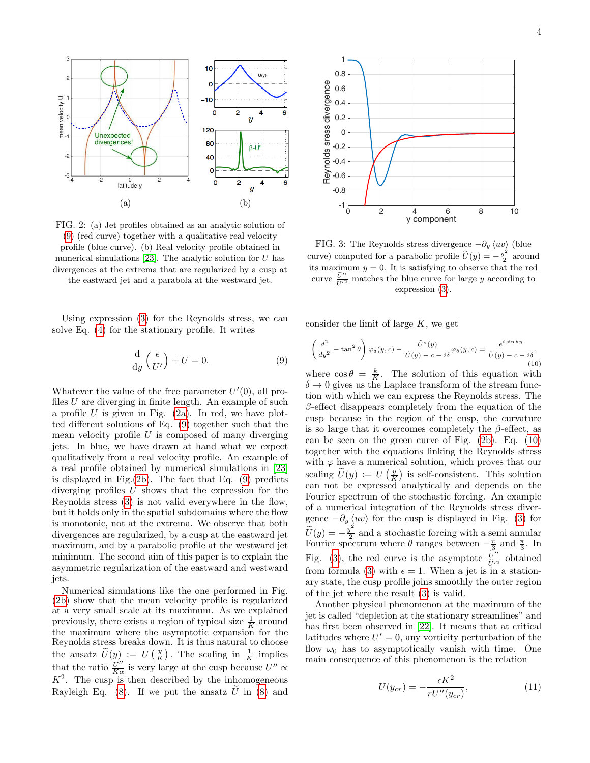<span id="page-3-2"></span>

FIG. 2: (a) Jet profiles obtained as an analytic solution of [\(9\)](#page-3-0) (red curve) together with a qualitative real velocity profile (blue curve). (b) Real velocity profile obtained in numerical simulations [\[23\]](#page-8-22). The analytic solution for  $U$  has divergences at the extrema that are regularized by a cusp at the eastward jet and a parabola at the westward jet.

Using expression [\(3\)](#page-1-1) for the Reynolds stress, we can solve Eq. [\(4\)](#page-1-2) for the stationary profile. It writes

<span id="page-3-0"></span>
$$
\frac{\mathrm{d}}{\mathrm{d}y}\left(\frac{\epsilon}{U'}\right) + U = 0.\tag{9}
$$

Whatever the value of the free parameter  $U'(0)$ , all profiles  $U$  are diverging in finite length. An example of such a profile  $U$  is given in Fig. [\(2a\)](#page-3-2). In red, we have plotted different solutions of Eq. [\(9\)](#page-3-0) together such that the mean velocity profile  $U$  is composed of many diverging jets. In blue, we have drawn at hand what we expect qualitatively from a real velocity profile. An example of a real profile obtained by numerical simulations in [\[23\]](#page-8-22) is displayed in Fig.[\(2b\)](#page-3-2). The fact that Eq. [\(9\)](#page-3-0) predicts diverging profiles U shows that the expression for the Reynolds stress [\(3\)](#page-1-1) is not valid everywhere in the flow, but it holds only in the spatial subdomains where the flow is monotonic, not at the extrema. We observe that both divergences are regularized, by a cusp at the eastward jet maximum, and by a parabolic profile at the westward jet minimum. The second aim of this paper is to explain the asymmetric regularization of the eastward and westward jets.

Numerical simulations like the one performed in Fig. [\(2b\)](#page-3-2) show that the mean velocity profile is regularized at a very small scale at its maximum. As we explained previously, there exists a region of typical size  $\frac{1}{K}$  around the maximum where the asymptotic expansion for the Reynolds stress breaks down. It is thus natural to choose the ansatz  $\widetilde{U}(y) := U\left(\frac{y}{K}\right)$ . The scaling in  $\frac{1}{K}$  implies that the ratio  $\frac{U''}{K\alpha}$  is very large at the cusp because  $U'' \propto$  $K^2$ . The cusp is then described by the inhomogeneous Rayleigh Eq. [\(8\)](#page-2-3). If we put the ansatz  $\hat{U}$  in (8) and

<span id="page-3-4"></span>

FIG. 3: The Reynolds stress divergence  $-\partial_y \langle uv \rangle$  (blue curve) computed for a parabolic profile  $\widetilde{U}(y) = -\frac{y^2}{2}$  $\frac{\sqrt{2}}{2}$  around its maximum  $y = 0$ . It is satisfying to observe that the red curve  $\frac{\tilde{U}''}{\tilde{U}'^2}$  matches the blue curve for large y according to expression [\(3\)](#page-1-1).

consider the limit of large  $K$ , we get

<span id="page-3-3"></span>
$$
\left(\frac{d^2}{dy^2} - \tan^2 \theta\right)\varphi_\delta(y, c) - \frac{\tilde{U}^v(y)}{\tilde{U}(y) - c - i\delta}\varphi_\delta(y, c) = \frac{e^{i \sin \theta y}}{\tilde{U}(y) - c - i\delta},\tag{10}
$$

where  $\cos \theta = \frac{k}{K}$ . The solution of this equation with  $\delta \rightarrow 0$  gives us the Laplace transform of the stream function with which we can express the Reynolds stress. The  $\beta$ -effect disappears completely from the equation of the cusp because in the region of the cusp, the curvature is so large that it overcomes completely the  $\beta$ -effect, as can be seen on the green curve of Fig. [\(2b\)](#page-3-2). Eq. [\(10\)](#page-3-3) together with the equations linking the Reynolds stress with  $\varphi$  have a numerical solution, which proves that our scaling  $\widetilde{U}(y) := U\left(\frac{y}{K}\right)$  is self-consistent. This solution can not be expressed analytically and depends on the Fourier spectrum of the stochastic forcing. An example of a numerical integration of the Reynolds stress divergence  $-\partial_y \langle uv \rangle$  for the cusp is displayed in Fig. [\(3\)](#page-3-4) for  $\widetilde{U}(y) = -\frac{y^2}{2}$  $\frac{y}{2}$  and a stochastic forcing with a semi annular Fourier spectrum where  $\theta$  ranges between  $-\frac{\pi}{3}$  and  $\frac{\pi}{3}$ . In Fig. [\(3\)](#page-3-4), the red curve is the asymptote  $\frac{\tilde{U}^{\prime\prime}}{\tilde{U}^{\prime\prime}}$  obtained from formula [\(3\)](#page-1-1) with  $\epsilon = 1$ . When a jet is in a stationary state, the cusp profile joins smoothly the outer region of the jet where the result [\(3\)](#page-1-1) is valid.

Another physical phenomenon at the maximum of the jet is called "depletion at the stationary streamlines" and has first been observed in [\[22\]](#page-8-21). It means that at critical latitudes where  $U' = 0$ , any vorticity perturbation of the flow  $\omega_0$  has to asymptotically vanish with time. One main consequence of this phenomenon is the relation

<span id="page-3-1"></span>
$$
U(y_{cr}) = -\frac{\epsilon K^2}{rU''(y_{cr})},\tag{11}
$$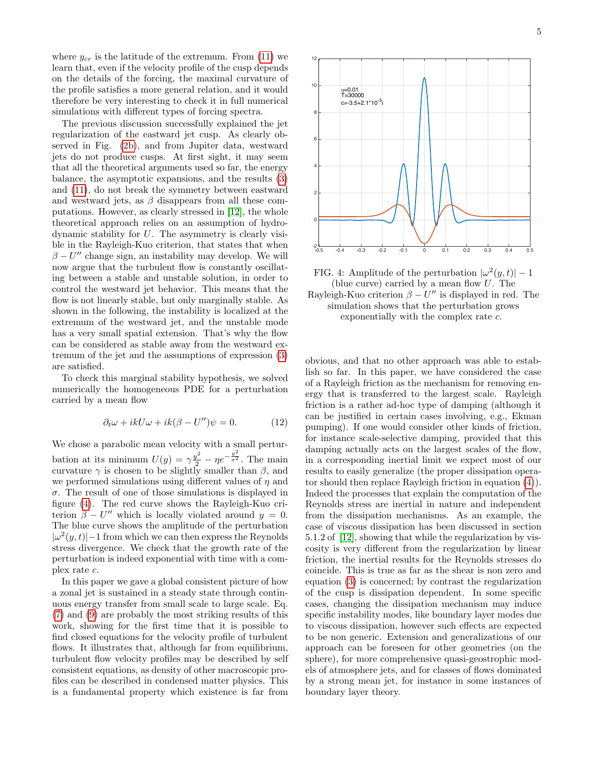where  $y_{cr}$  is the latitude of the extremum. From [\(11\)](#page-3-1) we learn that, even if the velocity profile of the cusp depends on the details of the forcing, the maximal curvature of the profile satisfies a more general relation, and it would therefore be very interesting to check it in full numerical simulations with different types of forcing spectra.

The previous discussion successfully explained the jet regularization of the eastward jet cusp. As clearly observed in Fig. [\(2b\)](#page-3-2), and from Jupiter data, westward jets do not produce cusps. At first sight, it may seem that all the theoretical arguments used so far, the energy balance, the asymptotic expansions, and the results [\(3\)](#page-1-1) and [\(11\)](#page-3-1), do not break the symmetry between eastward and westward jets, as  $\beta$  disappears from all these computations. However, as clearly stressed in [\[12\]](#page-8-11), the whole theoretical approach relies on an assumption of hydrodynamic stability for U. The asymmetry is clearly visible in the Rayleigh-Kuo criterion, that states that when  $\beta - U''$  change sign, an instability may develop. We will now argue that the turbulent flow is constantly oscillating between a stable and unstable solution, in order to control the westward jet behavior. This means that the flow is not linearly stable, but only marginally stable. As shown in the following, the instability is localized at the extremum of the westward jet, and the unstable mode has a very small spatial extension. That's why the flow can be considered as stable away from the westward extremum of the jet and the assumptions of expression [\(3\)](#page-1-1) are satisfied.

To check this marginal stability hypothesis, we solved numerically the homogeneous PDE for a perturbation carried by a mean flow

$$
\partial_t \omega + ikU\omega + ik(\beta - U'')\psi = 0.
$$
 (12)

We chose a parabolic mean velocity with a small perturbation at its minimum  $U(y) = \gamma \frac{y^2}{2} - \eta e^{-\frac{y^2}{\sigma^2}}$ . The main curvature  $\gamma$  is chosen to be slightly smaller than  $\beta$ , and we performed simulations using different values of  $\eta$  and  $\sigma$ . The result of one of those simulations is displayed in figure [\(4\)](#page-4-0). The red curve shows the Rayleigh-Kuo criterion  $\beta - U''$  which is locally violated around  $y = 0$ . The blue curve shows the amplitude of the perturbation  $|\omega^2(y,t)|-1$  from which we can then express the Reynolds stress divergence. We check that the growth rate of the perturbation is indeed exponential with time with a complex rate c.

In this paper we gave a global consistent picture of how a zonal jet is sustained in a steady state through continuous energy transfer from small scale to large scale. Eq. [\(7\)](#page-2-1) and [\(9\)](#page-3-0) are probably the most striking results of this work, showing for the first time that it is possible to find closed equations for the velocity profile of turbulent flows. It illustrates that, although far from equilibrium, turbulent flow velocity profiles may be described by self consistent equations, as density of other macroscopic profiles can be described in condensed matter physics. This is a fundamental property which existence is far from



FIG. 4: Amplitude of the perturbation  $|\omega^2(y,t)| - 1$ (blue curve) carried by a mean flow U. The Rayleigh-Kuo criterion  $\beta - U''$  is displayed in red. The simulation shows that the perturbation grows exponentially with the complex rate c.

-0.5 -0.4 -0.3 -0.2 -0.1 0 0.1 0.2 0.3 0.4 0.5

 $-2$   $-0.5$ 

0

2

4

6

8

 $10$ 

<span id="page-4-0"></span>12

obvious, and that no other approach was able to establish so far. In this paper, we have considered the case of a Rayleigh friction as the mechanism for removing energy that is transferred to the largest scale. Rayleigh friction is a rather ad-hoc type of damping (although it can be justified in certain cases involving, e.g., Ekman pumping). If one would consider other kinds of friction, for instance scale-selective damping, provided that this damping actually acts on the largest scales of the flow, in a corresponding inertial limit we expect most of our results to easily generalize (the proper dissipation operator should then replace Rayleigh friction in equation [\(4\)](#page-1-2)). Indeed the processes that explain the computation of the Reynolds stress are inertial in nature and independent from the dissipation mechanisms. As an example, the case of viscous dissipation has been discussed in section 5.1.2 of [\[12\]](#page-8-11), showing that while the regularization by viscosity is very different from the regularization by linear friction, the inertial results for the Reynolds stresses do coincide. This is true as far as the shear is non zero and equation [\(3\)](#page-1-1) is concerned; by contrast the regularization of the cusp is dissipation dependent. In some specific cases, changing the dissipation mechanism may induce specific instability modes, like boundary layer modes due to viscous dissipation, however such effects are expected to be non generic. Extension and generalizations of our approach can be foreseen for other geometries (on the sphere), for more comprehensive quasi-geostrophic models of atmosphere jets, and for classes of flows dominated by a strong mean jet, for instance in some instances of boundary layer theory.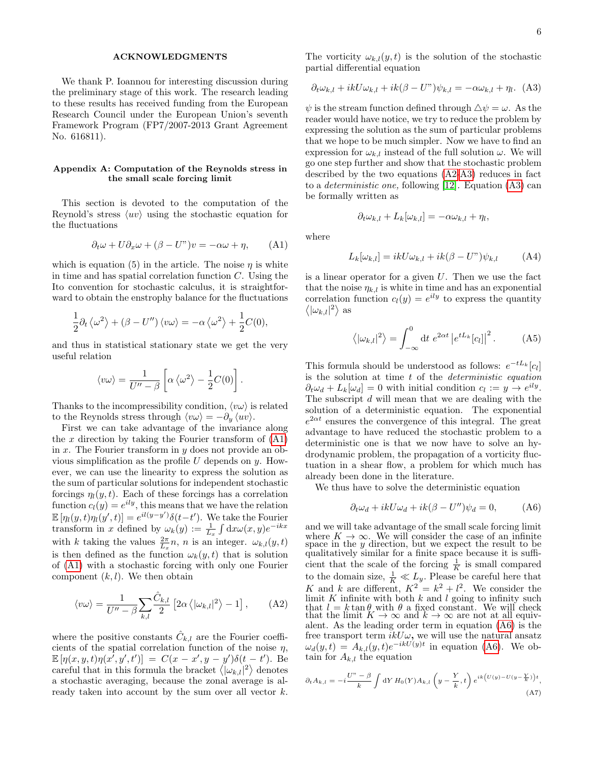## ACKNOWLEDGMENTS

We thank P. Ioannou for interesting discussion during the preliminary stage of this work. The research leading to these results has received funding from the European Research Council under the European Union's seventh Framework Program (FP7/2007-2013 Grant Agreement No. 616811).

## Appendix A: Computation of the Reynolds stress in the small scale forcing limit

This section is devoted to the computation of the Reynold's stress  $\langle uv \rangle$  using the stochastic equation for the fluctuations

<span id="page-5-0"></span>
$$
\partial_t \omega + U \partial_x \omega + (\beta - U^*) v = -\alpha \omega + \eta, \qquad (A1)
$$

which is equation (5) in the article. The noise  $\eta$  is white in time and has spatial correlation function  $C$ . Using the Ito convention for stochastic calculus, it is straightforward to obtain the enstrophy balance for the fluctuations

$$
\frac{1}{2}\partial_t \langle \omega^2 \rangle + (\beta - U'') \langle v \omega \rangle = -\alpha \langle \omega^2 \rangle + \frac{1}{2}C(0),
$$

and thus in statistical stationary state we get the very useful relation

$$
\langle v\omega\rangle = \frac{1}{U''-\beta} \left[ \alpha \left\langle \omega^2 \right\rangle - \frac{1}{2} C(0) \right].
$$

Thanks to the incompressibility condition,  $\langle v\omega \rangle$  is related to the Reynolds stress through  $\langle v\omega \rangle = -\partial_y \langle uv \rangle$ .

First we can take advantage of the invariance along the  $x$  direction by taking the Fourier transform of  $(A1)$ in x. The Fourier transform in  $y$  does not provide an obvious simplification as the profile  $U$  depends on  $y$ . However, we can use the linearity to express the solution as the sum of particular solutions for independent stochastic forcings  $\eta_l(y, t)$ . Each of these forcings has a correlation function  $c_l(y) = e^{ily}$ , this means that we have the relation  $\mathbb{E}[\eta_l(y,t)\eta_l(y',t)]=e^{il(y-y')}\delta(t-t')$ . We take the Fourier transform in x defined by  $\omega_k(y) := \frac{1}{L_x} \int dx \omega(x, y) e^{-ikx}$ with k taking the values  $\frac{2\pi}{L_x}n$ , n is an integer.  $\omega_{k,l}(y,t)$ is then defined as the function  $\omega_k(y, t)$  that is solution of [\(A1\)](#page-5-0) with a stochastic forcing with only one Fourier component  $(k, l)$ . We then obtain

<span id="page-5-1"></span>
$$
\langle v\omega \rangle = \frac{1}{U'' - \beta} \sum_{k,l} \frac{\hat{C}_{k,l}}{2} \left[ 2\alpha \left\langle |\omega_{k,l}|^2 \right\rangle - 1 \right], \quad (A2)
$$

where the positive constants  $\hat{C}_{k,l}$  are the Fourier coefficients of the spatial correlation function of the noise  $\eta$ ,  $\mathbb{E}[\eta(x, y, t) \eta(x', y', t')] = C(x - x', y - y') \delta(t - t')$ . Be careful that in this formula the bracket  $\langle |\omega_{k,l}|^2 \rangle$  denotes a stochastic averaging, because the zonal average is already taken into account by the sum over all vector k. The vorticity  $\omega_{k,l}(y,t)$  is the solution of the stochastic partial differential equation

<span id="page-5-2"></span>
$$
\partial_t \omega_{k,l} + ikU\omega_{k,l} + ik(\beta - U^*)\psi_{k,l} = -\alpha \omega_{k,l} + \eta_l. \tag{A3}
$$

 $\psi$  is the stream function defined through  $\Delta \psi = \omega$ . As the reader would have notice, we try to reduce the problem by expressing the solution as the sum of particular problems that we hope to be much simpler. Now we have to find an expression for  $\omega_{k,l}$  instead of the full solution  $\omega$ . We will go one step further and show that the stochastic problem described by the two equations [\(A2-](#page-5-1)[A3\)](#page-5-2) reduces in fact to a deterministic one, following [\[12\]](#page-8-11). Equation [\(A3\)](#page-5-2) can be formally written as

$$
\partial_t \omega_{k,l} + L_k[\omega_{k,l}] = -\alpha \omega_{k,l} + \eta_l,
$$

where

$$
L_k[\omega_{k,l}] = ikU\omega_{k,l} + ik(\beta - U^*)\psi_{k,l} \tag{A4}
$$

is a linear operator for a given  $U$ . Then we use the fact that the noise  $\eta_{k,l}$  is white in time and has an exponential correlation function  $c_l(y) = e^{ily}$  to express the quantity  $\langle |\omega_{k,l}|^2 \rangle$  as

<span id="page-5-4"></span>
$$
\langle |\omega_{k,l}|^2 \rangle = \int_{-\infty}^0 dt \ e^{2\alpha t} |e^{tL_k}[c_l]|^2.
$$
 (A5)

This formula should be understood as follows:  $e^{-tL_k}[c_l]$ is the solution at time  $t$  of the *deterministic equation*  $\partial_t \omega_d + L_k[\omega_d] = 0$  with initial condition  $c_l := y \rightarrow e^{ily}$ . The subscript d will mean that we are dealing with the solution of a deterministic equation. The exponential  $e^{2\alpha t}$  ensures the convergence of this integral. The great advantage to have reduced the stochastic problem to a deterministic one is that we now have to solve an hydrodynamic problem, the propagation of a vorticity fluctuation in a shear flow, a problem for which much has already been done in the literature.

We thus have to solve the deterministic equation

<span id="page-5-3"></span>
$$
\partial_t \omega_d + ikU\omega_d + ik(\beta - U'')\psi_d = 0, \tag{A6}
$$

and we will take advantage of the small scale forcing limit where  $K \to \infty$ . We will consider the case of an infinite space in the y direction, but we expect the result to be qualitatively similar for a finite space because it is sufficient that the scale of the forcing  $\frac{1}{K}$  is small compared to the domain size,  $\frac{1}{K} \ll L_y$ . Please be careful here that K and k are different,  $K^2 = k^2 + l^2$ . We consider the limit  $K$  infinite with both  $k$  and  $l$  going to infinity such that  $l = k \tan \theta$  with  $\theta$  a fixed constant. We will check that the limit  $K \to \infty$  and  $k \to \infty$  are not at all equivalent. As the leading order term in equation [\(A6\)](#page-5-3) is the free transport term  $ikU\omega$ , we will use the natural ansatz  $\omega_d(y,t) = A_{k,l}(y,t)e^{-ikU(y)t}$  in equation [\(A6\)](#page-5-3). We obtain for  $A_{k,l}$  the equation

<span id="page-5-5"></span>
$$
\partial_t A_{k,l} = -i \frac{U'' - \beta}{k} \int dY H_0(Y) A_{k,l} \left( y - \frac{Y}{k}, t \right) e^{ik \left( U(y) - U(y - \frac{Y}{k}) \right)t},\tag{A7}
$$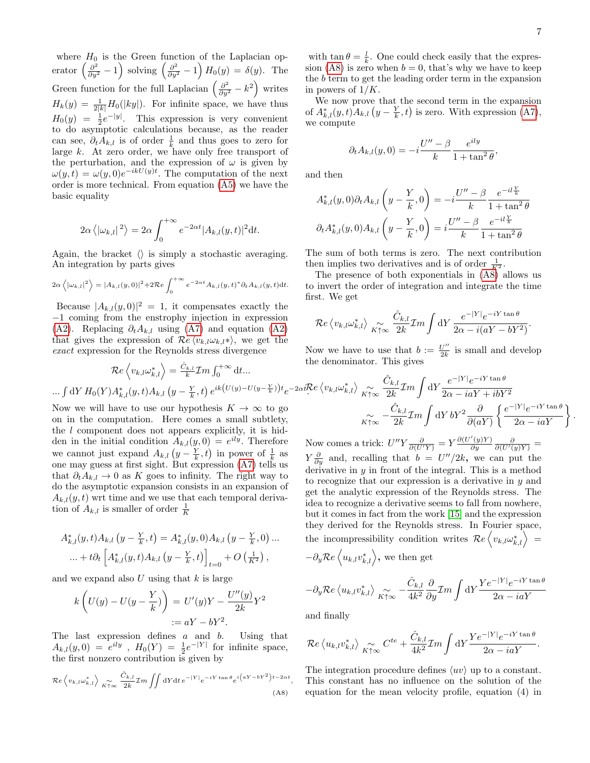where  $H_0$  is the Green function of the Laplacian operator  $\left(\frac{\partial^2}{\partial y^2} - 1\right)$  solving  $\left(\frac{\partial^2}{\partial y^2} - 1\right) H_0(y) = \delta(y)$ . The Green function for the full Laplacian  $\left(\frac{\partial^2}{\partial y^2} - k^2\right)$  writes  $H_k(y) = \frac{1}{2|k|} H_0(|ky|)$ . For infinite space, we have thus  $H_0(y) = \frac{1}{2}e^{-|y|}$ . This expression is very convenient to do asymptotic calculations because, as the reader can see,  $\partial_t A_{k,l}$  is of order  $\frac{1}{k}$  and thus goes to zero for large k. At zero order, we have only free transport of the perturbation, and the expression of  $\omega$  is given by  $\omega(y,t) = \omega(y,0)e^{-ikU(y)t}$ . The computation of the next order is more technical. From equation [\(A5\)](#page-5-4) we have the basic equality

$$
2\alpha \langle |\omega_{k,l}|^2 \rangle = 2\alpha \int_0^{+\infty} e^{-2\alpha t} |A_{k,l}(y,t)|^2 dt.
$$

Again, the bracket  $\langle \rangle$  is simply a stochastic averaging. An integration by parts gives

$$
2\alpha \left\langle |\omega_{k,l}|^2 \right\rangle = |A_{k,l}(y,0)|^2 + 2\mathcal{R}e \int_0^{+\infty} e^{-2\alpha t} A_{k,l}(y,t)^* \partial_t A_{k,l}(y,t) dt.
$$

Because  $|A_{k,l}(y,0)|^2 = 1$ , it compensates exactly the −1 coming from the enstrophy injection in expression [\(A2\)](#page-5-1). Replacing  $\partial_t A_{k,l}$  using [\(A7\)](#page-5-5) and equation (A2) that gives the expression of  $\mathcal{R}e \langle v_{k,l} \omega_{k,l} \star \rangle$ , we get the exact expression for the Reynolds stress divergence

.

.

with  $\tan \theta = \frac{l}{k}$ . One could check easily that the expres-sion [\(A8\)](#page-6-0) is zero when  $b = 0$ , that's why we have to keep the b term to get the leading order term in the expansion in powers of  $1/K$ .

We now prove that the second term in the expansion of  $A_{k,l}^*(y,t)A_{k,l}(y-\frac{Y}{k},t)$  is zero. With expression [\(A7\)](#page-5-5), we compute

$$
\partial_t A_{k,l}(y,0) = -i \frac{U'' - \beta}{k} \frac{e^{ily}}{1 + \tan^2 \theta},
$$

and then

$$
A_{k,l}^{*}(y,0)\partial_{t}A_{k,l}\left(y-\frac{Y}{k},0\right) = -i\frac{U''-\beta}{k}\frac{e^{-il\frac{Y}{k}}}{1+\tan^{2}\theta}
$$

$$
\partial_{t}A_{k,l}^{*}(y,0)A_{k,l}\left(y-\frac{Y}{k},0\right) = i\frac{U''-\beta}{k}\frac{e^{-il\frac{Y}{k}}}{1+\tan^{2}\theta}
$$

The sum of both terms is zero. The next contribution then implies two derivatives and is of order  $\frac{1}{K^2}$ .

The presence of both exponentials in [\(A8\)](#page-6-0) allows us to invert the order of integration and integrate the time first. We get

$$
\mathcal{R}e\left\langle v_{k,l}\omega_{k,l}^*\right\rangle\underset{K\uparrow\infty}{\sim}\frac{\hat{C}_{k,l}}{2k}\mathcal{I}m\int\mathrm{d}Y\,\frac{e^{-|Y|}e^{-iY\tan\theta}}{2\alpha-i(aY-bY^2)}
$$

Now we have to use that  $b := \frac{U''}{2k}$  $\frac{U''}{2k}$  is small and develop the denominator. This gives

$$
\mathcal{R}e\left\langle v_{k,l}\omega_{k,l}^*\right\rangle = \frac{\hat{C}_{k,l}}{k}\mathcal{I}m\int_0^{+\infty} dt...
$$
  
\n...  $\int dY H_0(Y)A_{k,l}^*(y,t)A_{k,l}(y-\frac{Y}{k},t) e^{ik(U(y)-U(y-\frac{Y}{k}))t}e^{-2\alpha t}\mathcal{R}e\left\langle v_{k,l}\omega_{k,l}^*\right\rangle \underset{K\uparrow\infty}{\sim} \frac{\hat{C}_{k,l}}{2k}\mathcal{I}m\int dY \frac{e^{-|Y|}e^{-iY\tan\theta}}{2\alpha - i\alpha Y + i bY^2}$   
\nNow we will have to use our hypothesis  $K \to \infty$  to go  
\non in the computation. Here comes a small subtlety,  
\n
$$
\sum_{K\uparrow\infty} \frac{\hat{C}_{k,l}}{-\frac{\hat{C}_{k,l}}{2k}\mathcal{I}m\int dY bY^2 \frac{\partial}{\partial(aY)}\left\{\frac{e^{-|Y|}e^{-iY\tan\theta}}{2\alpha - i\alpha Y}\right\}}
$$

the l component does not appears explicitly, it is hidden in the initial condition  $A_{k,l}(y,0) = e^{ily}$ . Therefore we cannot just expand  $A_{k,l}$   $(y - \frac{Y}{k}, t)$  in power of  $\frac{1}{k}$  as one may guess at first sight. But expression [\(A7\)](#page-5-5) tells us that  $\partial_t A_{k,l} \to 0$  as K goes to infinity. The right way to do the asymptotic expansion consists in an expansion of  $A_{k,l}(y, t)$  wrt time and we use that each temporal derivation of  $A_{k,l}$  is smaller of order  $\frac{1}{K}$ 

$$
A_{k,l}^*(y,t)A_{k,l}(y - \frac{Y}{k},t) = A_{k,l}^*(y,0)A_{k,l}(y - \frac{Y}{k},0) ...
$$
  
 
$$
\dots + t\partial_t \left[A_{k,l}^*(y,t)A_{k,l}(y - \frac{Y}{k},t)\right]_{t=0} + O\left(\frac{1}{K^2}\right),
$$

and we expand also  $U$  using that  $k$  is large

$$
k\left(U(y) - U(y - \frac{Y}{k})\right) = U'(y)Y - \frac{U''(y)}{2k}Y^2
$$
  
 :=  $aY - bY^2$ .

The last expression defines a and b. Using that  $A_{k,l}(y,0) = e^{ily}$ ,  $H_0(Y) = \frac{1}{2}e^{-|Y|}$  for infinite space, the first nonzero contribution is given by

<span id="page-6-0"></span>
$$
\mathcal{R}e\left\langle v_{k,l}\omega_{k,l}^*\right\rangle \underset{K\uparrow\infty}{\sim} \frac{\hat{C}_{k,l}}{2k} \mathcal{I}m \iint \mathrm{d}Y \mathrm{d}t \, e^{-|Y|} e^{-iY \tan \theta} e^{i\left(aY - bY^2\right)t - 2\alpha t},\tag{A8}
$$

Now comes a trick:  $U''Y \frac{\partial}{\partial (U'Y)} = Y \frac{\partial (U'(y)Y)}{\partial y}$  $\frac{\partial^{\prime}(y)Y}{\partial y} \frac{\partial}{\partial(U^{\prime}(y)Y)} =$  $Y\frac{\partial}{\partial y}$  and, recalling that  $b = U''/2k$ , we can put the derivative in  $y$  in front of the integral. This is a method to recognize that our expression is a derivative in  $y$  and get the analytic expression of the Reynolds stress. The idea to recognize a derivative seems to fall from nowhere, but it comes in fact from the work [\[15\]](#page-8-14) and the expression they derived for the Reynolds stress. In Fourier space, the incompressibility condition writes  $Re\langle v_{k,l}\omega_{k,l}^*\rangle =$  $\overline{I}$ 

$$
-\partial_y \mathcal{R}e \langle u_{k,l} v_{k,l}^* \rangle, \text{ we then get}
$$

$$
-\partial_y \mathcal{R}e \langle u_{k,l} v_{k,l}^* \rangle \underset{K \uparrow \infty}{\sim} -\frac{\hat{C}_{k,l}}{4k^2} \frac{\partial}{\partial y} \mathcal{I}m \int dY \frac{Y e^{-|Y|} e^{-iY \tan \theta}}{2\alpha - i aY}
$$

and finally

$$
\mathcal{R}e\left\langle u_{k,l}v_{k,l}^*\right\rangle \underset{K\uparrow\infty}{\sim} C^{te} + \frac{\hat{C}_{k,l}}{4k^2}\mathcal{I}m\int\mathrm{d}Y \frac{Ye^{-|Y|}e^{-iY\tan\theta}}{2\alpha - i\alpha Y}.
$$

The integration procedure defines  $\langle uv \rangle$  up to a constant. This constant has no influence on the solution of the equation for the mean velocity profile, equation (4) in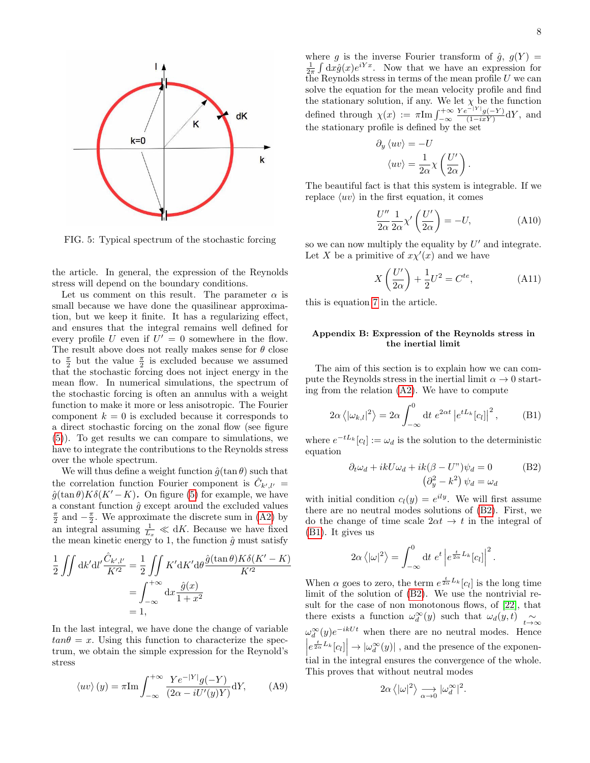<span id="page-7-0"></span>

FIG. 5: Typical spectrum of the stochastic forcing

the article. In general, the expression of the Reynolds stress will depend on the boundary conditions.

Let us comment on this result. The parameter  $\alpha$  is small because we have done the quasilinear approximation, but we keep it finite. It has a regularizing effect, and ensures that the integral remains well defined for every profile U even if  $U' = 0$  somewhere in the flow. The result above does not really makes sense for  $\theta$  close to  $\frac{\pi}{2}$  but the value  $\frac{\pi}{2}$  is excluded because we assumed that the stochastic forcing does not inject energy in the mean flow. In numerical simulations, the spectrum of the stochastic forcing is often an annulus with a weight function to make it more or less anisotropic. The Fourier component  $k = 0$  is excluded because it corresponds to a direct stochastic forcing on the zonal flow (see figure [\(5\)](#page-7-0)). To get results we can compare to simulations, we have to integrate the contributions to the Reynolds stress over the whole spectrum.

We will thus define a weight function  $\hat{g}(\tan \theta)$  such that the correlation function Fourier component is  $\hat{C}_{k',l'} =$  $\hat{g}(\tan \theta)K\delta(K'-K)$ . On figure [\(5\)](#page-7-0) for example, we have a constant function  $\hat{g}$  except around the excluded values  $\frac{\pi}{2}$  and  $-\frac{\pi}{2}$ . We approximate the discrete sum in [\(A2\)](#page-5-1) by an integral assuming  $\frac{1}{L_x} \ll dK$ . Because we have fixed the mean kinetic energy to 1, the function  $\hat{g}$  must satisfy

$$
\frac{1}{2} \iint dk' dl' \frac{\hat{C}_{k',l'}}{K'^2} = \frac{1}{2} \iint K' dK' d\theta \frac{\hat{g}(\tan \theta) K \delta(K'-K)}{K'^2}
$$

$$
= \int_{-\infty}^{+\infty} dx \frac{\hat{g}(x)}{1+x^2}
$$

$$
= 1,
$$

In the last integral, we have done the change of variable  $tan\theta = x$ . Using this function to characterize the spectrum, we obtain the simple expression for the Reynold's stress

$$
\langle uv \rangle (y) = \pi \text{Im} \int_{-\infty}^{+\infty} \frac{Y e^{-|Y|} g(-Y)}{(2\alpha - iU'(y)Y)} \text{d}Y,
$$
 (A9)

where g is the inverse Fourier transform of  $\hat{g}$ ,  $g(Y)$  =  $\frac{1}{2\pi} \int dx \hat{g}(x) e^{iYx}$ . Now that we have an expression for the Reynolds stress in terms of the mean profile  $U$  we can solve the equation for the mean velocity profile and find the stationary solution, if any. We let  $\chi$  be the function defined through  $\chi(x) := \pi \text{Im} \int_{-\infty}^{+\infty}$  $Ye^{-|Y|}g(-Y)$  $\frac{g(-Y)}{(1-ixY)}$ dY, and the stationary profile is defined by the set

$$
\partial_y \langle uv \rangle = -U
$$

$$
\langle uv \rangle = \frac{1}{2\alpha} \chi \left( \frac{U'}{2\alpha} \right).
$$

The beautiful fact is that this system is integrable. If we replace  $\langle uv \rangle$  in the first equation, it comes

$$
\frac{U''}{2\alpha} \frac{1}{2\alpha} \chi' \left(\frac{U'}{2\alpha}\right) = -U,\tag{A10}
$$

so we can now multiply the equality by  $U'$  and integrate. Let X be a primitive of  $x\chi'(x)$  and we have

$$
X\left(\frac{U'}{2\alpha}\right) + \frac{1}{2}U^2 = C^{te},\tag{A11}
$$

this is equation [7](#page-2-1) in the article.

## Appendix B: Expression of the Reynolds stress in the inertial limit

The aim of this section is to explain how we can compute the Reynolds stress in the inertial limit  $\alpha \to 0$  starting from the relation [\(A2\)](#page-5-1). We have to compute

<span id="page-7-2"></span>
$$
2\alpha \langle |\omega_{k,l}|^2 \rangle = 2\alpha \int_{-\infty}^0 dt \ e^{2\alpha t} |e^{tL_k}[c_l]|^2, \qquad \text{(B1)}
$$

where  $e^{-tL_k}[c_l] := \omega_d$  is the solution to the deterministic equation

<span id="page-7-1"></span>
$$
\partial_t \omega_d + ikU\omega_d + ik(\beta - U^*)\psi_d = 0
$$
 (B2)  

$$
(\partial_y^2 - k^2)\psi_d = \omega_d
$$

.

with initial condition  $c_l(y) = e^{ily}$ . We will first assume there are no neutral modes solutions of [\(B2\)](#page-7-1). First, we do the change of time scale  $2\alpha t \rightarrow t$  in the integral of [\(B1\)](#page-7-2). It gives us

$$
2\alpha \langle |\omega|^2 \rangle = \int_{-\infty}^0 dt \, e^t \left| e^{\frac{t}{2\alpha} L_k} [c_l] \right|^2
$$

When  $\alpha$  goes to zero, the term  $e^{\frac{t}{2\alpha}L_k}[c_l]$  is the long time limit of the solution of [\(B2\)](#page-7-1). We use the nontrivial result for the case of non monotonous flows, of [\[22\]](#page-8-21), that there exists a function  $\omega_d^{\infty}(y)$  such that  $\omega_d(y,t)$   $\underset{t\to\infty}{\sim}$  $\omega_d^{\infty}(y)e^{-ikUt}$  when there are no neutral modes. Hence  $\left| e^{\frac{t}{2\alpha}L_k}[c_l] \right| \to |\omega_d^{\infty}(y)|$ , and the presence of the exponential in the integral ensures the convergence of the whole. This proves that without neutral modes

$$
2\alpha \left\langle |\omega|^2 \right\rangle \underset{\alpha \to 0}{\longrightarrow} |\omega_d^{\infty}|^2.
$$